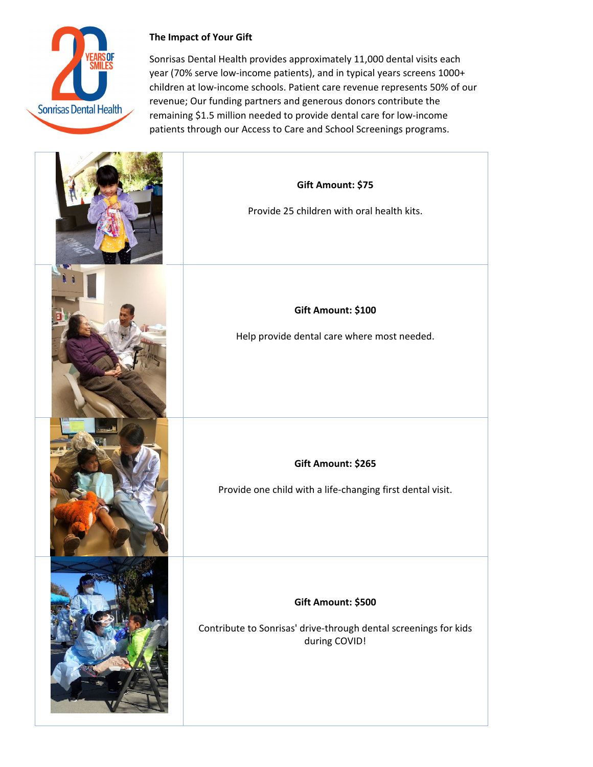

## **The Impact of Your Gift**

Sonrisas Dental Health provides approximately 11,000 dental visits each year (70% serve low‐income patients), and in typical years screens 1000+ children at low‐income schools. Patient care revenue represents 50% of our revenue; Our funding partners and generous donors contribute the remaining \$1.5 million needed to provide dental care for low‐income patients through our Access to Care and School Screenings programs.